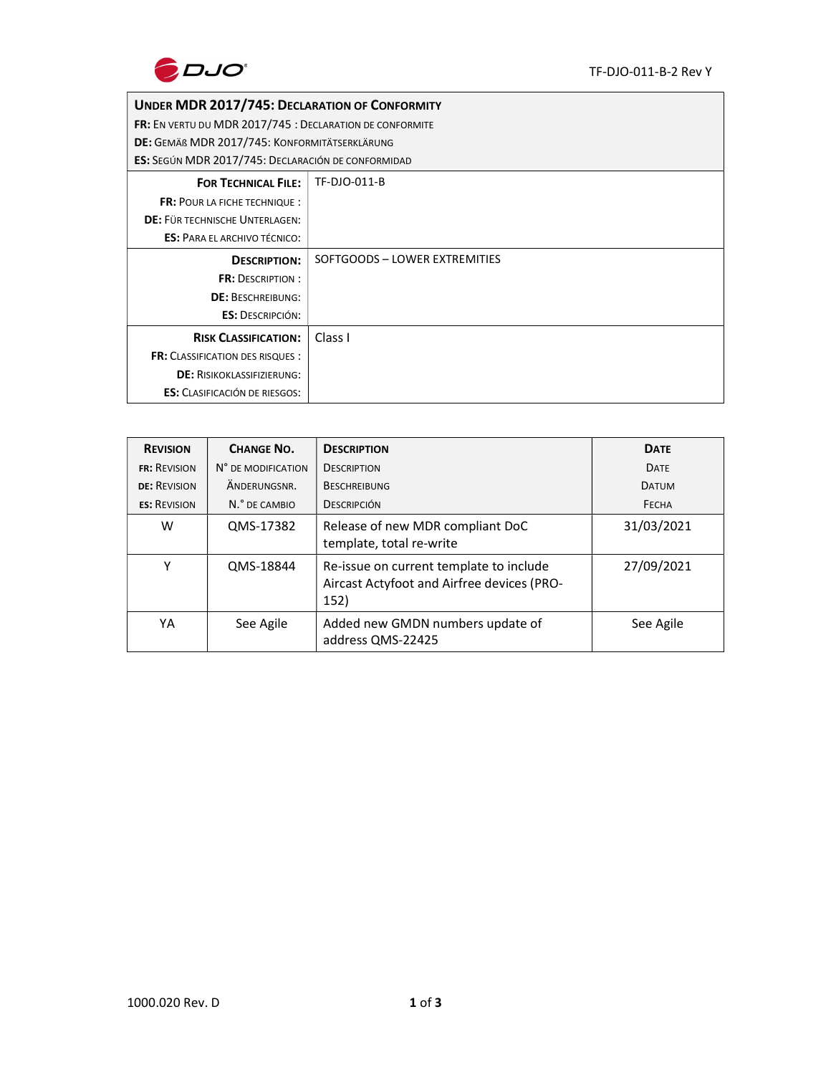

## UNDER MDR 2017/745: DECLARATION OF CONFORMITY

FR: EN VERTU DU MDR 2017/745 : DECLARATION DE CONFORMITE

DE: GEMÄß MDR 2017/745: KONFORMITÄTSERKLÄRUNG

ES: SEGÚN MDR 2017/745: DECLARACIÓN DE CONFORMIDAD

| <b>LJ.</b> JEGON IVIDIN ZOIT / / TJ. DECENINCION DE CONTONIVIIDAD |                               |  |
|-------------------------------------------------------------------|-------------------------------|--|
| <b>FOR TECHNICAL FILE:</b>                                        | TF-DJO-011-B                  |  |
| <b>FR: POUR LA FICHE TECHNIQUE:</b>                               |                               |  |
| <b>DE: FÜR TECHNISCHE UNTERLAGEN:</b>                             |                               |  |
| <b>ES: PARA EL ARCHIVO TÉCNICO:</b>                               |                               |  |
| <b>DESCRIPTION:</b>                                               | SOFTGOODS - LOWER EXTREMITIES |  |
| <b>FR: DESCRIPTION:</b>                                           |                               |  |
| <b>DE: BESCHREIBUNG:</b>                                          |                               |  |
| <b>ES: DESCRIPCIÓN:</b>                                           |                               |  |
| <b>RISK CLASSIFICATION:</b>                                       | Class I                       |  |
| <b>FR: CLASSIFICATION DES RISQUES:</b>                            |                               |  |
| <b>DE: RISIKOKLASSIFIZIERUNG:</b>                                 |                               |  |
| <b>ES:</b> CLASIFICACIÓN DE RIESGOS:                              |                               |  |

| <b>REVISION</b>     | <b>CHANGE NO.</b>  | <b>DESCRIPTION</b>                                                                            | <b>DATE</b>  |
|---------------------|--------------------|-----------------------------------------------------------------------------------------------|--------------|
| <b>FR: REVISION</b> | N° DE MODIFICATION | <b>DESCRIPTION</b>                                                                            | <b>DATE</b>  |
| <b>DE: REVISION</b> | ANDERLINGSNR.      | <b>BESCHREIBUNG</b>                                                                           | <b>DATUM</b> |
| <b>ES: REVISION</b> | N.º DE CAMBIO      | <b>DESCRIPCIÓN</b>                                                                            | FECHA        |
| W                   | QMS-17382          | Release of new MDR compliant DoC<br>template, total re-write                                  | 31/03/2021   |
| v                   | QMS-18844          | Re-issue on current template to include<br>Aircast Actyfoot and Airfree devices (PRO-<br>152) | 27/09/2021   |
| YA                  | See Agile          | Added new GMDN numbers update of<br>address QMS-22425                                         | See Agile    |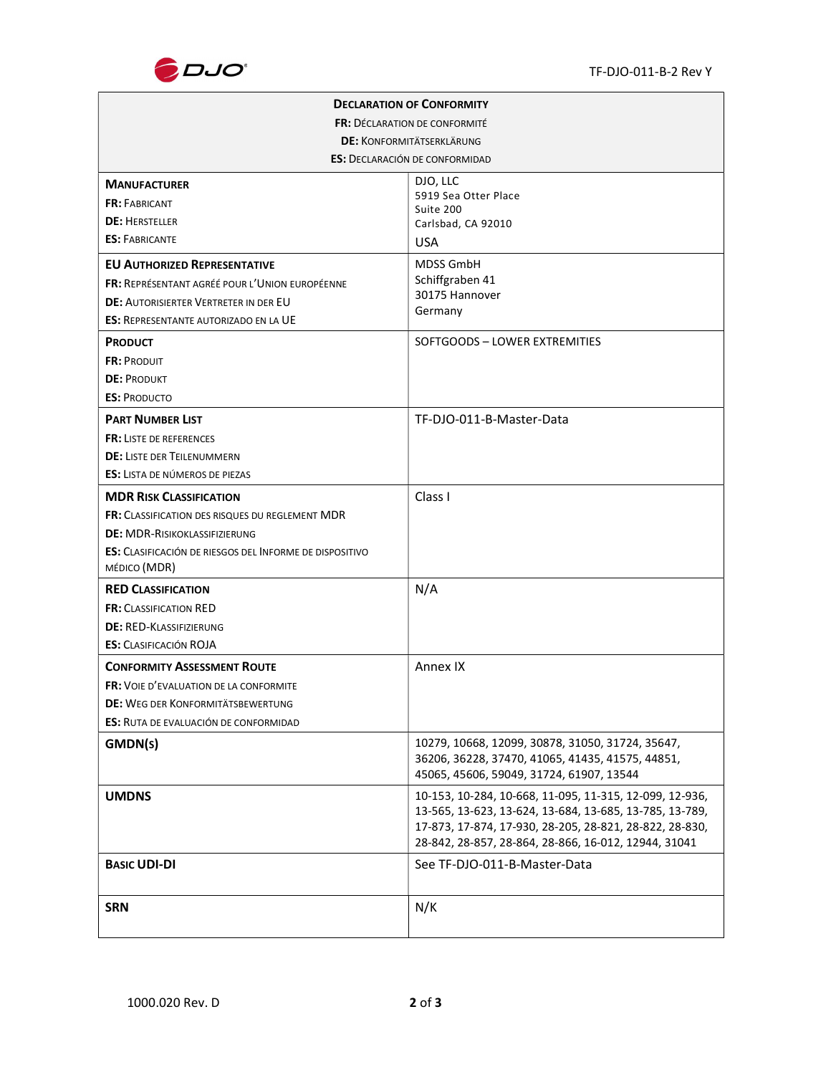

| <b>DECLARATION OF CONFORMITY</b>                               |                                                                                                                                                                                                                                       |  |  |  |
|----------------------------------------------------------------|---------------------------------------------------------------------------------------------------------------------------------------------------------------------------------------------------------------------------------------|--|--|--|
| <b>FR: DECLARATION DE CONFORMITÉ</b>                           |                                                                                                                                                                                                                                       |  |  |  |
| <b>DE: KONFORMITÄTSERKLÄRUNG</b>                               |                                                                                                                                                                                                                                       |  |  |  |
| <b>ES: DECLARACIÓN DE CONFORMIDAD</b>                          |                                                                                                                                                                                                                                       |  |  |  |
| <b>MANUFACTURER</b>                                            | DJO, LLC                                                                                                                                                                                                                              |  |  |  |
| <b>FR: FABRICANT</b>                                           | 5919 Sea Otter Place<br>Suite 200                                                                                                                                                                                                     |  |  |  |
| <b>DE: HERSTELLER</b>                                          | Carlsbad, CA 92010                                                                                                                                                                                                                    |  |  |  |
| <b>ES: FABRICANTE</b>                                          | <b>USA</b>                                                                                                                                                                                                                            |  |  |  |
| <b>EU AUTHORIZED REPRESENTATIVE</b>                            | <b>MDSS GmbH</b>                                                                                                                                                                                                                      |  |  |  |
| <b>FR: REPRÉSENTANT AGRÉÉ POUR L'UNION EUROPÉENNE</b>          | Schiffgraben 41                                                                                                                                                                                                                       |  |  |  |
| <b>DE: AUTORISIERTER VERTRETER IN DER EU</b>                   | 30175 Hannover<br>Germany                                                                                                                                                                                                             |  |  |  |
| <b>ES: REPRESENTANTE AUTORIZADO EN LA UE</b>                   |                                                                                                                                                                                                                                       |  |  |  |
| <b>PRODUCT</b>                                                 | SOFTGOODS - LOWER EXTREMITIES                                                                                                                                                                                                         |  |  |  |
| <b>FR: PRODUIT</b>                                             |                                                                                                                                                                                                                                       |  |  |  |
| <b>DE: PRODUKT</b>                                             |                                                                                                                                                                                                                                       |  |  |  |
| <b>ES: PRODUCTO</b>                                            |                                                                                                                                                                                                                                       |  |  |  |
| <b>PART NUMBER LIST</b>                                        | TF-DJO-011-B-Master-Data                                                                                                                                                                                                              |  |  |  |
| <b>FR: LISTE DE REFERENCES</b>                                 |                                                                                                                                                                                                                                       |  |  |  |
| <b>DE: LISTE DER TEILENUMMERN</b>                              |                                                                                                                                                                                                                                       |  |  |  |
| <b>ES:</b> LISTA DE NÚMEROS DE PIEZAS                          |                                                                                                                                                                                                                                       |  |  |  |
| <b>MDR RISK CLASSIFICATION</b>                                 | Class I                                                                                                                                                                                                                               |  |  |  |
| <b>FR: CLASSIFICATION DES RISQUES DU REGLEMENT MDR</b>         |                                                                                                                                                                                                                                       |  |  |  |
| <b>DE: MDR-RISIKOKLASSIFIZIERUNG</b>                           |                                                                                                                                                                                                                                       |  |  |  |
| <b>ES:</b> CLASIFICACIÓN DE RIESGOS DEL INFORME DE DISPOSITIVO |                                                                                                                                                                                                                                       |  |  |  |
| MÉDICO (MDR)                                                   |                                                                                                                                                                                                                                       |  |  |  |
| <b>RED CLASSIFICATION</b>                                      | N/A                                                                                                                                                                                                                                   |  |  |  |
| <b>FR: CLASSIFICATION RED</b>                                  |                                                                                                                                                                                                                                       |  |  |  |
| <b>DE: RED-KLASSIFIZIERUNG</b>                                 |                                                                                                                                                                                                                                       |  |  |  |
| <b>ES:</b> CLASIFICACIÓN ROJA                                  |                                                                                                                                                                                                                                       |  |  |  |
| <b>CONFORMITY ASSESSMENT ROUTE</b>                             | Annex IX                                                                                                                                                                                                                              |  |  |  |
| <b>FR:</b> VOIE D'EVALUATION DE LA CONFORMITE                  |                                                                                                                                                                                                                                       |  |  |  |
| <b>DE: WEG DER KONFORMITÄTSBEWERTUNG</b>                       |                                                                                                                                                                                                                                       |  |  |  |
| <b>ES:</b> RUTA DE EVALUACIÓN DE CONFORMIDAD                   |                                                                                                                                                                                                                                       |  |  |  |
| GMDN(s)                                                        | 10279, 10668, 12099, 30878, 31050, 31724, 35647,<br>36206, 36228, 37470, 41065, 41435, 41575, 44851,<br>45065, 45606, 59049, 31724, 61907, 13544                                                                                      |  |  |  |
| <b>UMDNS</b>                                                   | 10-153, 10-284, 10-668, 11-095, 11-315, 12-099, 12-936,<br>13-565, 13-623, 13-624, 13-684, 13-685, 13-785, 13-789,<br>17-873, 17-874, 17-930, 28-205, 28-821, 28-822, 28-830,<br>28-842, 28-857, 28-864, 28-866, 16-012, 12944, 31041 |  |  |  |
| <b>BASIC UDI-DI</b>                                            | See TF-DJO-011-B-Master-Data                                                                                                                                                                                                          |  |  |  |
| <b>SRN</b>                                                     | N/K                                                                                                                                                                                                                                   |  |  |  |